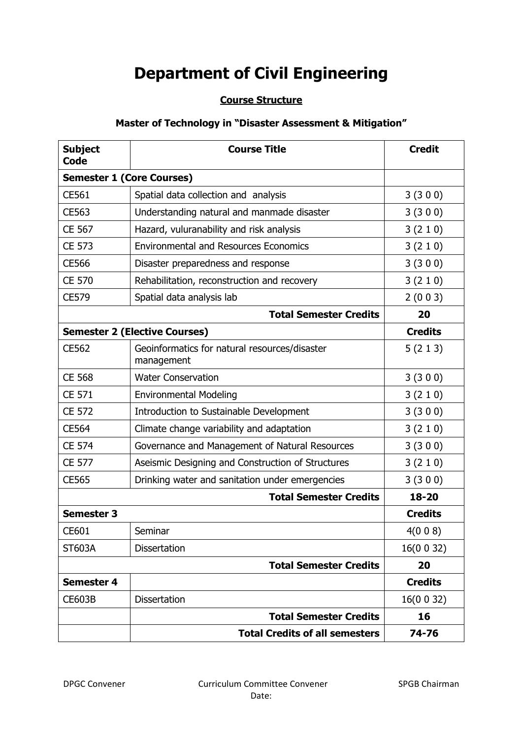# **Department of Civil Engineering**

# **Course Structure**

# **Master of Technology in "Disaster Assessment & Mitigation"**

| <b>Subject</b><br>Code | <b>Course Title</b>                                         | <b>Credit</b>  |  |
|------------------------|-------------------------------------------------------------|----------------|--|
|                        | <b>Semester 1 (Core Courses)</b>                            |                |  |
| CE561                  | Spatial data collection and analysis                        | 3(300)         |  |
| CE563                  | Understanding natural and manmade disaster                  | 3(300)         |  |
| CE 567                 | Hazard, vuluranability and risk analysis                    | 3(210)         |  |
| <b>CE 573</b>          | <b>Environmental and Resources Economics</b>                | 3(210)         |  |
| <b>CE566</b>           | Disaster preparedness and response                          | 3(300)         |  |
| <b>CE 570</b>          | Rehabilitation, reconstruction and recovery                 | 3(210)         |  |
| CE579                  | Spatial data analysis lab                                   | 2(003)         |  |
|                        | <b>Total Semester Credits</b>                               | 20             |  |
|                        | <b>Semester 2 (Elective Courses)</b>                        | <b>Credits</b> |  |
| CE562                  | Geoinformatics for natural resources/disaster<br>management | 5(213)         |  |
| <b>CE 568</b>          | <b>Water Conservation</b>                                   | 3(300)         |  |
| CE 571                 | <b>Environmental Modeling</b>                               | 3(210)         |  |
| <b>CE 572</b>          | Introduction to Sustainable Development                     | 3(300)         |  |
| <b>CE564</b>           | Climate change variability and adaptation                   | 3(210)         |  |
| <b>CE 574</b>          | Governance and Management of Natural Resources              | 3(300)         |  |
| <b>CE 577</b>          | Aseismic Designing and Construction of Structures           | 3(210)         |  |
| <b>CE565</b>           | Drinking water and sanitation under emergencies             | 3(300)         |  |
|                        | <b>Total Semester Credits</b>                               | 18-20          |  |
| <b>Semester 3</b>      |                                                             | <b>Credits</b> |  |
| CE601                  | Seminar                                                     | 4(008)         |  |
| ST603A                 | <b>Dissertation</b>                                         | 16(0032)       |  |
|                        | <b>Total Semester Credits</b>                               | 20             |  |
| <b>Semester 4</b>      |                                                             | <b>Credits</b> |  |
| <b>CE603B</b>          | <b>Dissertation</b>                                         | 16(0 0 32)     |  |
|                        | <b>Total Semester Credits</b>                               | 16             |  |
|                        | <b>Total Credits of all semesters</b>                       | 74-76          |  |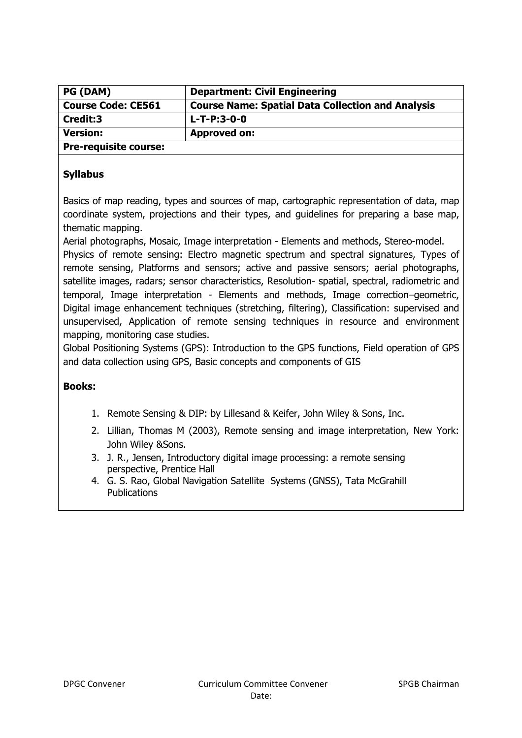| <b>PG (DAM)</b>              | <b>Department: Civil Engineering</b>                     |
|------------------------------|----------------------------------------------------------|
| <b>Course Code: CE561</b>    | <b>Course Name: Spatial Data Collection and Analysis</b> |
| Credit:3                     | $L-T-P:3-0-0$                                            |
| <b>Version:</b>              | <b>Approved on:</b>                                      |
| <b>Pre-requisite course:</b> |                                                          |

Basics of map reading, types and sources of map, cartographic representation of data, map coordinate system, projections and their types, and guidelines for preparing a base map, thematic mapping.

Aerial photographs, Mosaic, Image interpretation - Elements and methods, Stereo-model.

Physics of remote sensing: Electro magnetic spectrum and spectral signatures, Types of remote sensing, Platforms and sensors; active and passive sensors; aerial photographs, satellite images, radars; sensor characteristics, Resolution- spatial, spectral, radiometric and temporal, Image interpretation - Elements and methods, Image correction–geometric, Digital image enhancement techniques (stretching, filtering), Classification: supervised and unsupervised, Application of remote sensing techniques in resource and environment mapping, monitoring case studies.

Global Positioning Systems (GPS): Introduction to the GPS functions, Field operation of GPS and data collection using GPS, Basic concepts and components of GIS

- 1. Remote Sensing & DIP: by Lillesand & Keifer, John Wiley & Sons, Inc.
- 2. Lillian, Thomas M (2003), Remote sensing and image interpretation, New York: John Wiley &Sons.
- 3. J. R., Jensen, Introductory digital image processing: a remote sensing perspective, Prentice Hall
- 4. G. S. Rao, Global Navigation Satellite Systems (GNSS), Tata McGrahill **Publications**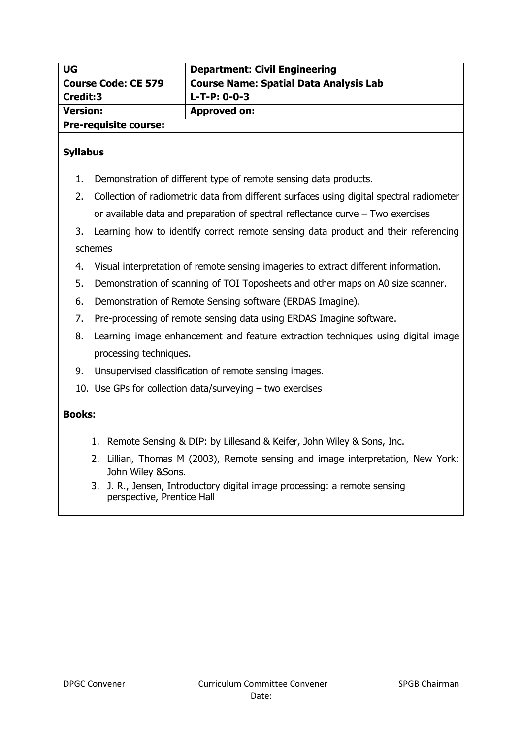| UG                           | <b>Department: Civil Engineering</b>          |
|------------------------------|-----------------------------------------------|
| <b>Course Code: CE 579</b>   | <b>Course Name: Spatial Data Analysis Lab</b> |
| Credit:3                     | $L-T-P: 0-0-3$                                |
| <b>Version:</b>              | Approved on:                                  |
| <b>Pre-requisite course:</b> |                                               |

- 1. Demonstration of different type of remote sensing data products.
- 2. Collection of radiometric data from different surfaces using digital spectral radiometer or available data and preparation of spectral reflectance curve – Two exercises
- 3. Learning how to identify correct remote sensing data product and their referencing schemes
- 4. Visual interpretation of remote sensing imageries to extract different information.
- 5. Demonstration of scanning of TOI Toposheets and other maps on A0 size scanner.
- 6. Demonstration of Remote Sensing software (ERDAS Imagine).
- 7. Pre-processing of remote sensing data using ERDAS Imagine software.
- 8. Learning image enhancement and feature extraction techniques using digital image processing techniques.
- 9. Unsupervised classification of remote sensing images.
- 10. Use GPs for collection data/surveying two exercises

- 1. Remote Sensing & DIP: by Lillesand & Keifer, John Wiley & Sons, Inc.
- 2. Lillian, Thomas M (2003), Remote sensing and image interpretation, New York: John Wiley &Sons.
- 3. J. R., Jensen, Introductory digital image processing: a remote sensing perspective, Prentice Hall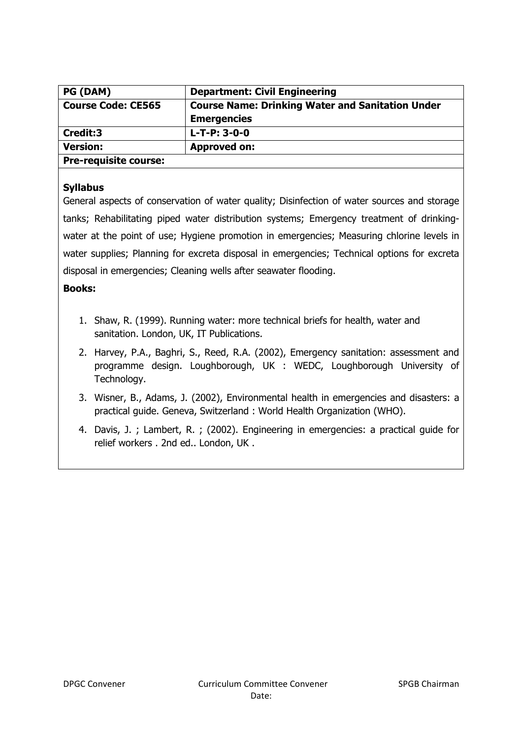| PG (DAM)                     | <b>Department: Civil Engineering</b>                    |
|------------------------------|---------------------------------------------------------|
| <b>Course Code: CE565</b>    | <b>Course Name: Drinking Water and Sanitation Under</b> |
|                              | <b>Emergencies</b>                                      |
| Credit:3                     | $L-T-P: 3-0-0$                                          |
| <b>Version:</b>              | <b>Approved on:</b>                                     |
| <b>Pre-requisite course:</b> |                                                         |

General aspects of conservation of water quality; Disinfection of water sources and storage tanks; Rehabilitating piped water distribution systems; Emergency treatment of drinkingwater at the point of use; Hygiene promotion in emergencies; Measuring chlorine levels in water supplies; Planning for excreta disposal in emergencies; Technical options for excreta disposal in emergencies; Cleaning wells after seawater flooding.

- 1. Shaw, R. (1999). Running water: more technical briefs for health, water and sanitation. London, UK, IT Publications.
- 2. Harvey, P.A., Baghri, S., Reed, R.A. (2002), Emergency sanitation: assessment and programme design. Loughborough, UK : WEDC, Loughborough University of Technology.
- 3. Wisner, B., Adams, J. (2002), Environmental health in emergencies and disasters: a practical guide. Geneva, Switzerland : World Health Organization (WHO).
- 4. Davis, J. ; Lambert, R. ; (2002). Engineering in emergencies: a practical guide for relief workers . 2nd ed.. London, UK .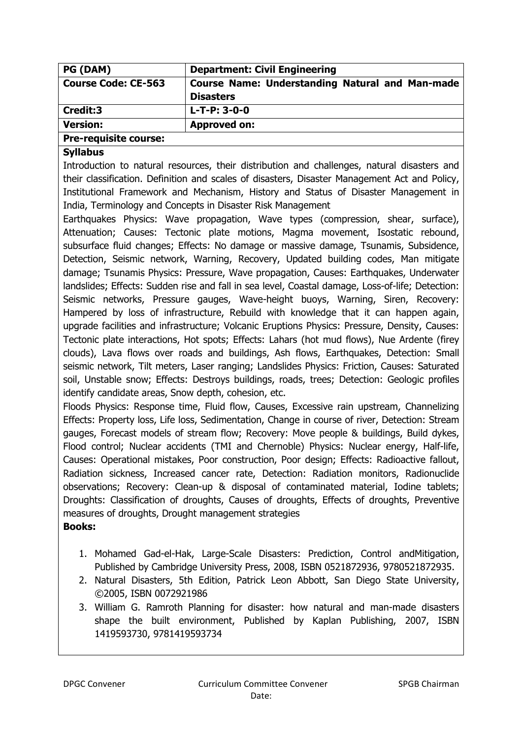| PG (DAM)                     | <b>Department: Civil Engineering</b>                                       |
|------------------------------|----------------------------------------------------------------------------|
| <b>Course Code: CE-563</b>   | <b>Course Name: Understanding Natural and Man-made</b><br><b>Disasters</b> |
| Credit:3                     | $L-T-P: 3-0-0$                                                             |
| <b>Version:</b>              | <b>Approved on:</b>                                                        |
| <b>Pre-requisite course:</b> |                                                                            |

Introduction to natural resources, their distribution and challenges, natural disasters and their classification. Definition and scales of disasters, Disaster Management Act and Policy, Institutional Framework and Mechanism, History and Status of Disaster Management in India, Terminology and Concepts in Disaster Risk Management

Earthquakes Physics: Wave propagation, Wave types (compression, shear, surface), Attenuation; Causes: Tectonic plate motions, Magma movement, Isostatic rebound, subsurface fluid changes; Effects: No damage or massive damage, Tsunamis, Subsidence, Detection, Seismic network, Warning, Recovery, Updated building codes, Man mitigate damage; Tsunamis Physics: Pressure, Wave propagation, Causes: Earthquakes, Underwater landslides; Effects: Sudden rise and fall in sea level, Coastal damage, Loss-of-life; Detection: Seismic networks, Pressure gauges, Wave-height buoys, Warning, Siren, Recovery: Hampered by loss of infrastructure, Rebuild with knowledge that it can happen again, upgrade facilities and infrastructure; Volcanic Eruptions Physics: Pressure, Density, Causes: Tectonic plate interactions, Hot spots; Effects: Lahars (hot mud flows), Nue Ardente (firey clouds), Lava flows over roads and buildings, Ash flows, Earthquakes, Detection: Small seismic network, Tilt meters, Laser ranging; Landslides Physics: Friction, Causes: Saturated soil, Unstable snow; Effects: Destroys buildings, roads, trees; Detection: Geologic profiles identify candidate areas, Snow depth, cohesion, etc.

Floods Physics: Response time, Fluid flow, Causes, Excessive rain upstream, Channelizing Effects: Property loss, Life loss, Sedimentation, Change in course of river, Detection: Stream gauges, Forecast models of stream flow; Recovery: Move people & buildings, Build dykes, Flood control; Nuclear accidents (TMI and Chernoble) Physics: Nuclear energy, Half-life, Causes: Operational mistakes, Poor construction, Poor design; Effects: Radioactive fallout, Radiation sickness, Increased cancer rate, Detection: Radiation monitors, Radionuclide observations; Recovery: Clean-up & disposal of contaminated material, Iodine tablets; Droughts: Classification of droughts, Causes of droughts, Effects of droughts, Preventive measures of droughts, Drought management strategies

- 1. Mohamed Gad-el-Hak, Large-Scale Disasters: Prediction, Control andMitigation, Published by Cambridge University Press, 2008, ISBN 0521872936, 9780521872935.
- 2. Natural Disasters, 5th Edition, Patrick Leon Abbott, San Diego State University, ©2005, ISBN 0072921986
- 3. William G. Ramroth Planning for disaster: how natural and man-made disasters shape the built environment, Published by Kaplan Publishing, 2007, ISBN 1419593730, 9781419593734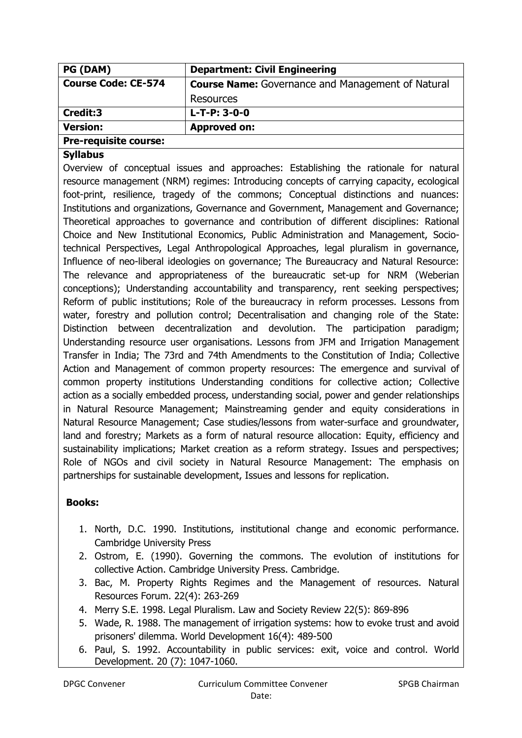| PG (DAM)                     | <b>Department: Civil Engineering</b>                     |
|------------------------------|----------------------------------------------------------|
| <b>Course Code: CE-574</b>   | <b>Course Name:</b> Governance and Management of Natural |
|                              | Resources                                                |
| Credit:3                     | $L-T-P: 3-0-0$                                           |
| <b>Version:</b>              | <b>Approved on:</b>                                      |
| <b>Pre-requisite course:</b> |                                                          |

Overview of conceptual issues and approaches: Establishing the rationale for natural resource management (NRM) regimes: Introducing concepts of carrying capacity, ecological foot-print, resilience, tragedy of the commons; Conceptual distinctions and nuances: Institutions and organizations, Governance and Government, Management and Governance; Theoretical approaches to governance and contribution of different disciplines: Rational Choice and New Institutional Economics, Public Administration and Management, Sociotechnical Perspectives, Legal Anthropological Approaches, legal pluralism in governance, Influence of neo-liberal ideologies on governance; The Bureaucracy and Natural Resource: The relevance and appropriateness of the bureaucratic set-up for NRM (Weberian conceptions); Understanding accountability and transparency, rent seeking perspectives; Reform of public institutions; Role of the bureaucracy in reform processes. Lessons from water, forestry and pollution control; Decentralisation and changing role of the State: Distinction between decentralization and devolution. The participation paradigm; Understanding resource user organisations. Lessons from JFM and Irrigation Management Transfer in India; The 73rd and 74th Amendments to the Constitution of India; Collective Action and Management of common property resources: The emergence and survival of common property institutions Understanding conditions for collective action; Collective action as a socially embedded process, understanding social, power and gender relationships in Natural Resource Management; Mainstreaming gender and equity considerations in Natural Resource Management; Case studies/lessons from water-surface and groundwater, land and forestry; Markets as a form of natural resource allocation: Equity, efficiency and sustainability implications; Market creation as a reform strategy. Issues and perspectives; Role of NGOs and civil society in Natural Resource Management: The emphasis on partnerships for sustainable development, Issues and lessons for replication.

- 1. North, D.C. 1990. Institutions, institutional change and economic performance. Cambridge University Press
- 2. Ostrom, E. (1990). Governing the commons. The evolution of institutions for collective Action. Cambridge University Press. Cambridge.
- 3. Bac, M. Property Rights Regimes and the Management of resources. Natural Resources Forum. 22(4): 263-269
- 4. Merry S.E. 1998. Legal Pluralism. Law and Society Review 22(5): 869-896
- 5. Wade, R. 1988. The management of irrigation systems: how to evoke trust and avoid prisoners' dilemma. World Development 16(4): 489-500
- 6. Paul, S. 1992. Accountability in public services: exit, voice and control. World Development. 20 (7): 1047-1060.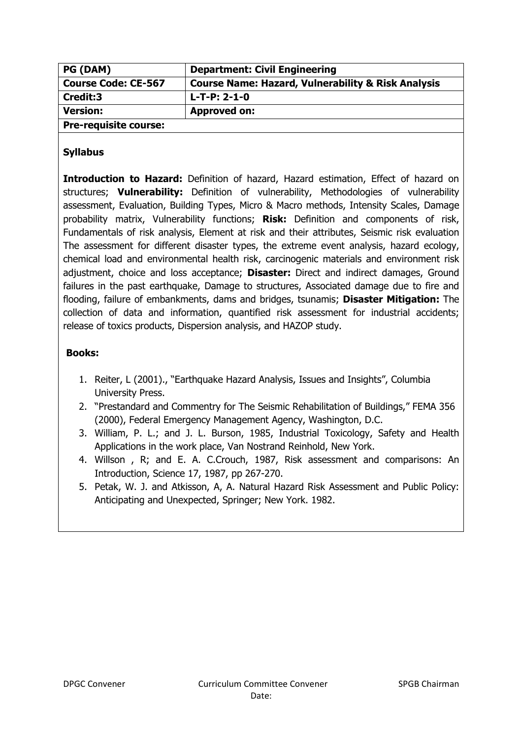| PG (DAM)                     | <b>Department: Civil Engineering</b>                          |
|------------------------------|---------------------------------------------------------------|
| <b>Course Code: CE-567</b>   | <b>Course Name: Hazard, Vulnerability &amp; Risk Analysis</b> |
| Credit:3                     | $L-T-P: 2-1-0$                                                |
| <b>Version:</b>              | <b>Approved on:</b>                                           |
| <b>Pre-requisite course:</b> |                                                               |

**Introduction to Hazard:** Definition of hazard, Hazard estimation, Effect of hazard on structures; **Vulnerability:** Definition of vulnerability, Methodologies of vulnerability assessment, Evaluation, Building Types, Micro & Macro methods, Intensity Scales, Damage probability matrix, Vulnerability functions; **Risk:** Definition and components of risk, Fundamentals of risk analysis, Element at risk and their attributes, Seismic risk evaluation The assessment for different disaster types, the extreme event analysis, hazard ecology, chemical load and environmental health risk, carcinogenic materials and environment risk adjustment, choice and loss acceptance; **Disaster:** Direct and indirect damages, Ground failures in the past earthquake, Damage to structures, Associated damage due to fire and flooding, failure of embankments, dams and bridges, tsunamis; **Disaster Mitigation:** The collection of data and information, quantified risk assessment for industrial accidents; release of toxics products, Dispersion analysis, and HAZOP study.

- 1. Reiter, L (2001)., "Earthquake Hazard Analysis, Issues and Insights", Columbia University Press.
- 2. "Prestandard and Commentry for The Seismic Rehabilitation of Buildings," FEMA 356 (2000), Federal Emergency Management Agency, Washington, D.C.
- 3. William, P. L.; and J. L. Burson, 1985, Industrial Toxicology, Safety and Health Applications in the work place, Van Nostrand Reinhold, New York.
- 4. Willson , R; and E. A. C.Crouch, 1987, Risk assessment and comparisons: An Introduction, Science 17, 1987, pp 267-270.
- 5. Petak, W. J. and Atkisson, A, A. Natural Hazard Risk Assessment and Public Policy: Anticipating and Unexpected, Springer; New York. 1982.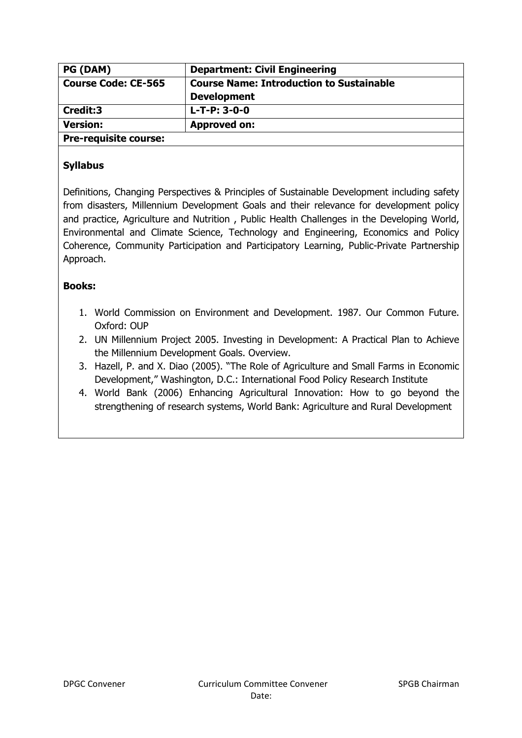| PG (DAM)                     | <b>Department: Civil Engineering</b>            |
|------------------------------|-------------------------------------------------|
| <b>Course Code: CE-565</b>   | <b>Course Name: Introduction to Sustainable</b> |
|                              | <b>Development</b>                              |
| Credit:3                     | $L-T-P: 3-0-0$                                  |
| <b>Version:</b>              | <b>Approved on:</b>                             |
| <b>Pre-requisite course:</b> |                                                 |

Definitions, Changing Perspectives & Principles of Sustainable Development including safety from disasters, Millennium Development Goals and their relevance for development policy and practice, Agriculture and Nutrition , Public Health Challenges in the Developing World, Environmental and Climate Science, Technology and Engineering, Economics and Policy Coherence, Community Participation and Participatory Learning, Public-Private Partnership Approach.

- 1. World Commission on Environment and Development. 1987. Our Common Future. Oxford: OUP
- 2. UN Millennium Project 2005. Investing in Development: A Practical Plan to Achieve the Millennium Development Goals. Overview.
- 3. Hazell, P. and X. Diao (2005). "The Role of Agriculture and Small Farms in Economic Development," Washington, D.C.: International Food Policy Research Institute
- 4. World Bank (2006) Enhancing Agricultural Innovation: How to go beyond the strengthening of research systems, World Bank: Agriculture and Rural Development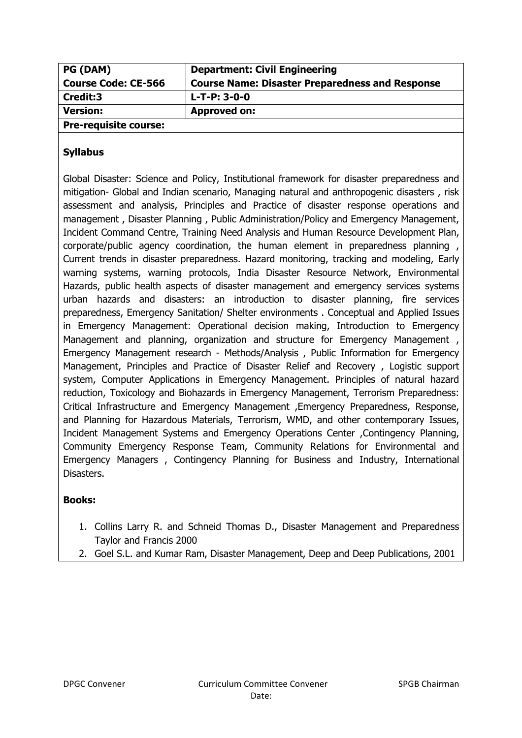| <b>PG (DAM)</b>              | <b>Department: Civil Engineering</b>                   |
|------------------------------|--------------------------------------------------------|
| <b>Course Code: CE-566</b>   | <b>Course Name: Disaster Preparedness and Response</b> |
| Credit:3                     | L-T-P: 3-0-0                                           |
| <b>Version:</b>              | <b>Approved on:</b>                                    |
| <b>Pre-requisite course:</b> |                                                        |

Global Disaster: Science and Policy, Institutional framework for disaster preparedness and mitigation- Global and Indian scenario, Managing natural and anthropogenic disasters , risk assessment and analysis, Principles and Practice of disaster response operations and management , Disaster Planning , Public Administration/Policy and Emergency Management, Incident Command Centre, Training Need Analysis and Human Resource Development Plan, corporate/public agency coordination, the human element in preparedness planning, Current trends in disaster preparedness. Hazard monitoring, tracking and modeling, Early warning systems, warning protocols, India Disaster Resource Network, Environmental Hazards, public health aspects of disaster management and emergency services systems urban hazards and disasters: an introduction to disaster planning, fire services preparedness, Emergency Sanitation/ Shelter environments . Conceptual and Applied Issues in Emergency Management: Operational decision making, Introduction to Emergency Management and planning, organization and structure for Emergency Management , Emergency Management research - Methods/Analysis , Public Information for Emergency Management, Principles and Practice of Disaster Relief and Recovery , Logistic support system, Computer Applications in Emergency Management. Principles of natural hazard reduction, Toxicology and Biohazards in Emergency Management, Terrorism Preparedness: Critical Infrastructure and Emergency Management ,Emergency Preparedness, Response, and Planning for Hazardous Materials, Terrorism, WMD, and other contemporary Issues, Incident Management Systems and Emergency Operations Center ,Contingency Planning, Community Emergency Response Team, Community Relations for Environmental and Emergency Managers , Contingency Planning for Business and Industry, International Disasters.

- 1. Collins Larry R. and Schneid Thomas D., Disaster Management and Preparedness Taylor and Francis 2000
- 2. Goel S.L. and Kumar Ram, Disaster Management, Deep and Deep Publications, 2001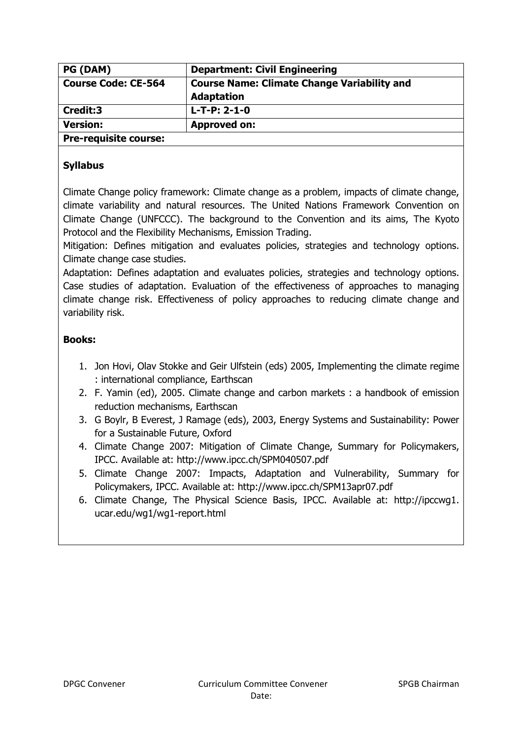| PG (DAM)                     | <b>Department: Civil Engineering</b>                                    |
|------------------------------|-------------------------------------------------------------------------|
| <b>Course Code: CE-564</b>   | <b>Course Name: Climate Change Variability and</b><br><b>Adaptation</b> |
| Credit:3                     | $L-T-P: 2-1-0$                                                          |
| <b>Version:</b>              | <b>Approved on:</b>                                                     |
| <b>Pre-requisite course:</b> |                                                                         |

Climate Change policy framework: Climate change as a problem, impacts of climate change, climate variability and natural resources. The United Nations Framework Convention on Climate Change (UNFCCC). The background to the Convention and its aims, The Kyoto Protocol and the Flexibility Mechanisms, Emission Trading.

Mitigation: Defines mitigation and evaluates policies, strategies and technology options. Climate change case studies.

Adaptation: Defines adaptation and evaluates policies, strategies and technology options. Case studies of adaptation. Evaluation of the effectiveness of approaches to managing climate change risk. Effectiveness of policy approaches to reducing climate change and variability risk.

- 1. Jon Hovi, Olav Stokke and Geir Ulfstein (eds) 2005, Implementing the climate regime : international compliance, Earthscan
- 2. F. Yamin (ed), 2005. Climate change and carbon markets : a handbook of emission reduction mechanisms, Earthscan
- 3. G Boylr, B Everest, J Ramage (eds), 2003, Energy Systems and Sustainability: Power for a Sustainable Future, Oxford
- 4. Climate Change 2007: Mitigation of Climate Change, Summary for Policymakers, IPCC. Available at: http://www.ipcc.ch/SPM040507.pdf
- 5. Climate Change 2007: Impacts, Adaptation and Vulnerability, Summary for Policymakers, IPCC. Available at: http://www.ipcc.ch/SPM13apr07.pdf
- 6. Climate Change, The Physical Science Basis, IPCC. Available at: http://ipccwg1. ucar.edu/wg1/wg1-report.html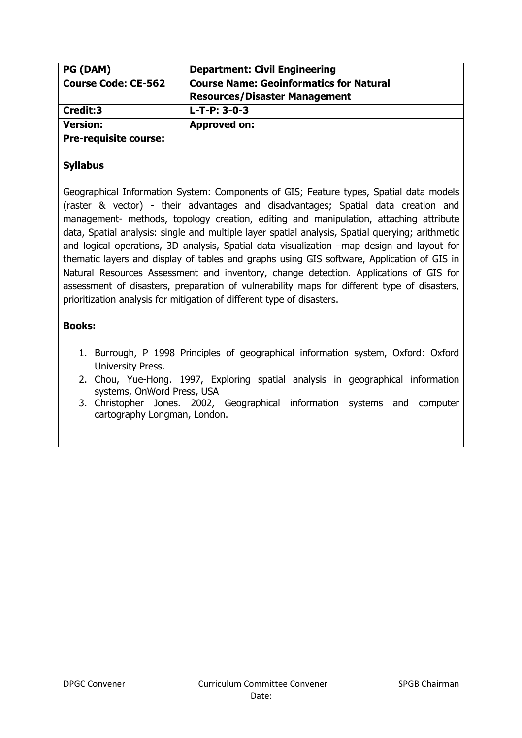| PG (DAM)                     | <b>Department: Civil Engineering</b>           |
|------------------------------|------------------------------------------------|
| <b>Course Code: CE-562</b>   | <b>Course Name: Geoinformatics for Natural</b> |
|                              | <b>Resources/Disaster Management</b>           |
| Credit:3                     | $L-T-P: 3-0-3$                                 |
| <b>Version:</b>              | <b>Approved on:</b>                            |
| <b>Pre-requisite course:</b> |                                                |

Geographical Information System: Components of GIS; Feature types, Spatial data models (raster & vector) - their advantages and disadvantages; Spatial data creation and management- methods, topology creation, editing and manipulation, attaching attribute data, Spatial analysis: single and multiple layer spatial analysis, Spatial querying; arithmetic and logical operations, 3D analysis, Spatial data visualization –map design and layout for thematic layers and display of tables and graphs using GIS software, Application of GIS in Natural Resources Assessment and inventory, change detection. Applications of GIS for assessment of disasters, preparation of vulnerability maps for different type of disasters, prioritization analysis for mitigation of different type of disasters.

- 1. Burrough, P 1998 Principles of geographical information system, Oxford: Oxford University Press.
- 2. Chou, Yue-Hong. 1997, Exploring spatial analysis in geographical information systems, OnWord Press, USA
- 3. Christopher Jones. 2002, Geographical information systems and computer cartography Longman, London.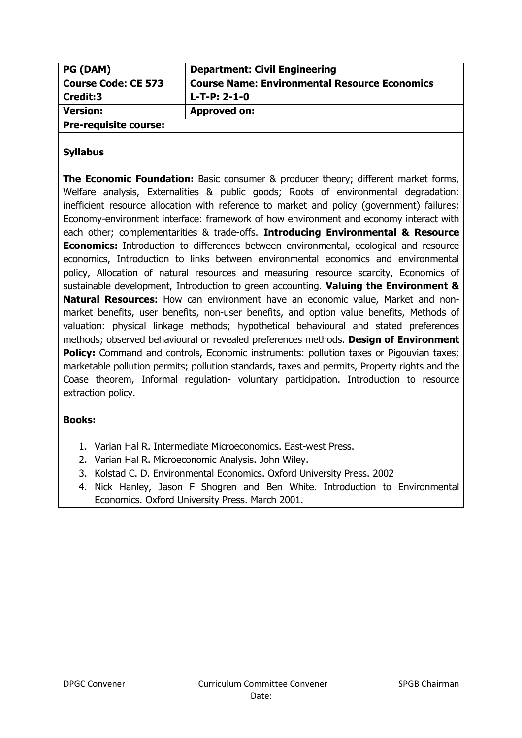| <b>PG (DAM)</b>              | <b>Department: Civil Engineering</b>                 |
|------------------------------|------------------------------------------------------|
| <b>Course Code: CE 573</b>   | <b>Course Name: Environmental Resource Economics</b> |
| Credit:3                     | $L-T-P: 2-1-0$                                       |
| <b>Version:</b>              | <b>Approved on:</b>                                  |
| <b>Pre-requisite course:</b> |                                                      |

**The Economic Foundation:** Basic consumer & producer theory; different market forms, Welfare analysis, Externalities & public goods; Roots of environmental degradation: inefficient resource allocation with reference to market and policy (government) failures; Economy-environment interface: framework of how environment and economy interact with each other; complementarities & trade-offs. **Introducing Environmental & Resource Economics:** Introduction to differences between environmental, ecological and resource economics, Introduction to links between environmental economics and environmental policy, Allocation of natural resources and measuring resource scarcity, Economics of sustainable development, Introduction to green accounting. **Valuing the Environment & Natural Resources:** How can environment have an economic value, Market and nonmarket benefits, user benefits, non-user benefits, and option value benefits, Methods of valuation: physical linkage methods; hypothetical behavioural and stated preferences methods; observed behavioural or revealed preferences methods. **Design of Environment Policy:** Command and controls, Economic instruments: pollution taxes or Pigouvian taxes; marketable pollution permits; pollution standards, taxes and permits, Property rights and the Coase theorem, Informal regulation- voluntary participation. Introduction to resource extraction policy.

- 1. Varian Hal R. Intermediate Microeconomics. East-west Press.
- 2. Varian Hal R. Microeconomic Analysis. John Wiley.
- 3. Kolstad C. D. Environmental Economics. Oxford University Press. 2002
- 4. Nick Hanley, Jason F Shogren and Ben White. Introduction to Environmental Economics. Oxford University Press. March 2001.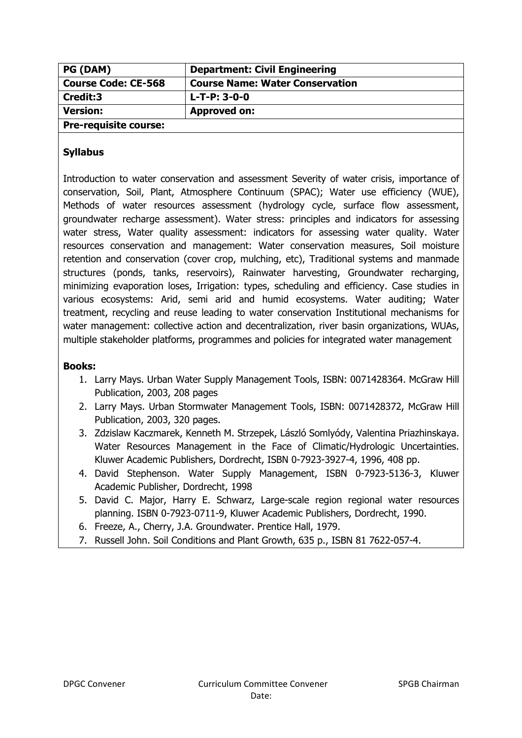| <b>PG (DAM)</b>              | <b>Department: Civil Engineering</b>   |
|------------------------------|----------------------------------------|
| <b>Course Code: CE-568</b>   | <b>Course Name: Water Conservation</b> |
| Credit:3                     | $L-T-P: 3-0-0$                         |
| <b>Version:</b>              | <b>Approved on:</b>                    |
| <b>Pre-requisite course:</b> |                                        |

Introduction to water conservation and assessment Severity of water crisis, importance of conservation, Soil, Plant, Atmosphere Continuum (SPAC); Water use efficiency (WUE), Methods of water resources assessment (hydrology cycle, surface flow assessment, groundwater recharge assessment). Water stress: principles and indicators for assessing water stress, Water quality assessment: indicators for assessing water quality. Water resources conservation and management: Water conservation measures, Soil moisture retention and conservation (cover crop, mulching, etc), Traditional systems and manmade structures (ponds, tanks, reservoirs), Rainwater harvesting, Groundwater recharging, minimizing evaporation loses, Irrigation: types, scheduling and efficiency. Case studies in various ecosystems: Arid, semi arid and humid ecosystems. Water auditing; Water treatment, recycling and reuse leading to water conservation Institutional mechanisms for water management: collective action and decentralization, river basin organizations, WUAs, multiple stakeholder platforms, programmes and policies for integrated water management

- 1. Larry Mays. Urban Water Supply Management Tools, ISBN: 0071428364. McGraw Hill Publication, 2003, 208 pages
- 2. Larry Mays. Urban Stormwater Management Tools, ISBN: 0071428372, McGraw Hill Publication, 2003, 320 pages.
- 3. Zdzislaw Kaczmarek, Kenneth M. Strzepek, László Somlyódy, Valentina Priazhinskaya. Water Resources Management in the Face of Climatic/Hydrologic Uncertainties. Kluwer Academic Publishers, Dordrecht, ISBN 0-7923-3927-4, 1996, 408 pp.
- 4. David Stephenson. Water Supply Management, ISBN 0-7923-5136-3, Kluwer Academic Publisher, Dordrecht, 1998
- 5. David C. Major, Harry E. Schwarz, Large-scale region regional water resources planning. ISBN 0-7923-0711-9, Kluwer Academic Publishers, Dordrecht, 1990.
- 6. Freeze, A., Cherry, J.A. Groundwater. Prentice Hall, 1979.
- 7. Russell John. Soil Conditions and Plant Growth, 635 p., ISBN 81 7622-057-4.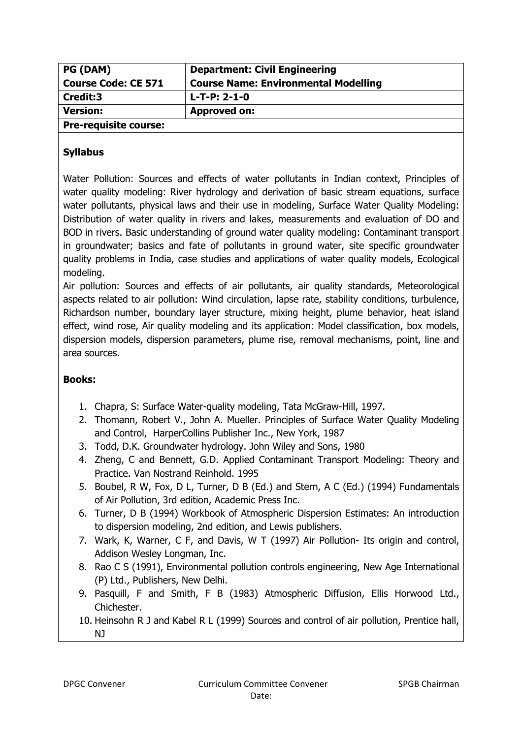| PG (DAM)                     | <b>Department: Civil Engineering</b>        |
|------------------------------|---------------------------------------------|
| <b>Course Code: CE 571</b>   | <b>Course Name: Environmental Modelling</b> |
| Credit:3                     | $L-T-P: 2-1-0$                              |
| <b>Version:</b>              | <b>Approved on:</b>                         |
| <b>Pre-requisite course:</b> |                                             |

Water Pollution: Sources and effects of water pollutants in Indian context, Principles of water quality modeling: River hydrology and derivation of basic stream equations, surface water pollutants, physical laws and their use in modeling, Surface Water Quality Modeling: Distribution of water quality in rivers and lakes, measurements and evaluation of DO and BOD in rivers. Basic understanding of ground water quality modeling: Contaminant transport in groundwater; basics and fate of pollutants in ground water, site specific groundwater quality problems in India, case studies and applications of water quality models, Ecological modeling.

Air pollution: Sources and effects of air pollutants, air quality standards, Meteorological aspects related to air pollution: Wind circulation, lapse rate, stability conditions, turbulence, Richardson number, boundary layer structure, mixing height, plume behavior, heat island effect, wind rose, Air quality modeling and its application: Model classification, box models, dispersion models, dispersion parameters, plume rise, removal mechanisms, point, line and area sources.

- 1. Chapra, S: Surface Water-quality modeling, Tata McGraw-Hill, 1997.
- 2. Thomann, Robert V., John A. Mueller. Principles of Surface Water Quality Modeling and Control, HarperCollins Publisher Inc., New York, 1987
- 3. Todd, D.K. Groundwater hydrology. John Wiley and Sons, 1980
- 4. Zheng, C and Bennett, G.D. Applied Contaminant Transport Modeling: Theory and Practice. Van Nostrand Reinhold. 1995
- 5. Boubel, R W, Fox, D L, Turner, D B (Ed.) and Stern, A C (Ed.) (1994) Fundamentals of Air Pollution, 3rd edition, Academic Press Inc.
- 6. Turner, D B (1994) Workbook of Atmospheric Dispersion Estimates: An introduction to dispersion modeling, 2nd edition, and Lewis publishers.
- 7. Wark, K, Warner, C F, and Davis, W T (1997) Air Pollution- Its origin and control, Addison Wesley Longman, Inc.
- 8. Rao C S (1991), Environmental pollution controls engineering, New Age International (P) Ltd., Publishers, New Delhi.
- 9. Pasquill, F and Smith, F B (1983) Atmospheric Diffusion, Ellis Horwood Ltd., Chichester.
- 10. Heinsohn R J and Kabel R L (1999) Sources and control of air pollution, Prentice hall, NJ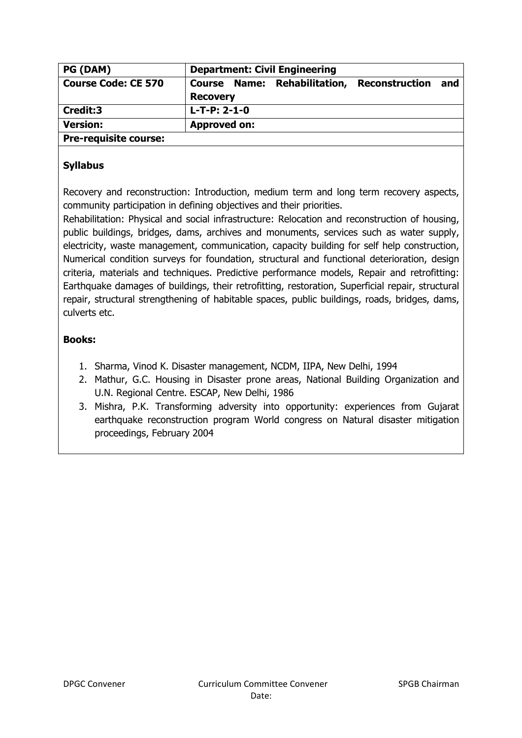| PG (DAM)                     | <b>Department: Civil Engineering</b>                                            |
|------------------------------|---------------------------------------------------------------------------------|
| <b>Course Code: CE 570</b>   | Course Name: Rehabilitation,<br><b>Reconstruction</b><br>and<br><b>Recovery</b> |
| Credit:3                     | $L-T-P: 2-1-0$                                                                  |
| <b>Version:</b>              | <b>Approved on:</b>                                                             |
| <b>Pre-requisite course:</b> |                                                                                 |

Recovery and reconstruction: Introduction, medium term and long term recovery aspects, community participation in defining objectives and their priorities.

Rehabilitation: Physical and social infrastructure: Relocation and reconstruction of housing, public buildings, bridges, dams, archives and monuments, services such as water supply, electricity, waste management, communication, capacity building for self help construction, Numerical condition surveys for foundation, structural and functional deterioration, design criteria, materials and techniques. Predictive performance models, Repair and retrofitting: Earthquake damages of buildings, their retrofitting, restoration, Superficial repair, structural repair, structural strengthening of habitable spaces, public buildings, roads, bridges, dams, culverts etc.

- 1. Sharma, Vinod K. Disaster management, NCDM, IIPA, New Delhi, 1994
- 2. Mathur, G.C. Housing in Disaster prone areas, National Building Organization and U.N. Regional Centre. ESCAP, New Delhi, 1986
- 3. Mishra, P.K. Transforming adversity into opportunity: experiences from Gujarat earthquake reconstruction program World congress on Natural disaster mitigation proceedings, February 2004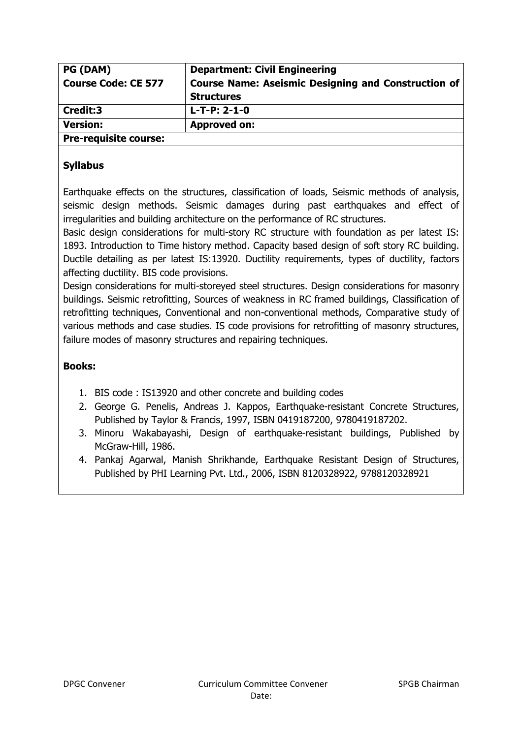| PG (DAM)                     | <b>Department: Civil Engineering</b>                       |
|------------------------------|------------------------------------------------------------|
| <b>Course Code: CE 577</b>   | <b>Course Name: Aseismic Designing and Construction of</b> |
|                              | <b>Structures</b>                                          |
| Credit:3                     | $L-T-P: 2-1-0$                                             |
| <b>Version:</b>              | <b>Approved on:</b>                                        |
| <b>Pre-requisite course:</b> |                                                            |

Earthquake effects on the structures, classification of loads, Seismic methods of analysis, seismic design methods. Seismic damages during past earthquakes and effect of irregularities and building architecture on the performance of RC structures.

Basic design considerations for multi-story RC structure with foundation as per latest IS: 1893. Introduction to Time history method. Capacity based design of soft story RC building. Ductile detailing as per latest IS:13920. Ductility requirements, types of ductility, factors affecting ductility. BIS code provisions.

Design considerations for multi-storeyed steel structures. Design considerations for masonry buildings. Seismic retrofitting, Sources of weakness in RC framed buildings, Classification of retrofitting techniques, Conventional and non-conventional methods, Comparative study of various methods and case studies. IS code provisions for retrofitting of masonry structures, failure modes of masonry structures and repairing techniques.

- 1. BIS code : IS13920 and other concrete and building codes
- 2. George G. Penelis, Andreas J. Kappos, Earthquake-resistant Concrete Structures, Published by Taylor & Francis, 1997, ISBN 0419187200, 9780419187202.
- 3. Minoru Wakabayashi, Design of earthquake-resistant buildings, Published by McGraw-Hill, 1986.
- 4. Pankaj Agarwal, Manish Shrikhande, Earthquake Resistant Design of Structures, Published by PHI Learning Pvt. Ltd., 2006, ISBN 8120328922, 9788120328921